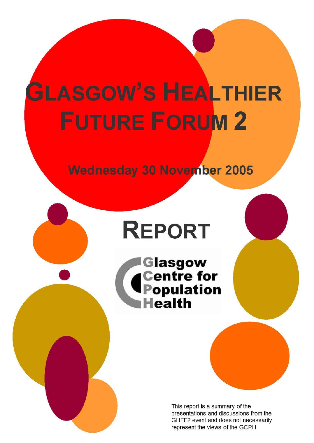# **GLASGOW'S HEALTHIER FUTURE FORUM 2**

**Wednesday 30 November 2005** 

# **REPORT**

Glasgow<br>Centre for<br>Population **Health** 

> This report is a summary of the presentations and discussions from the GHFF2 event and does not necessarily represent the views of the GCPH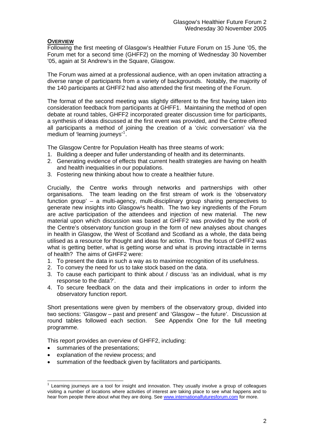# **OVERVIEW**

Following the first meeting of Glasgow's Healthier Future Forum on 15 June '05, the Forum met for a second time (GHFF2) on the morning of Wednesday 30 November '05, again at St Andrew's in the Square, Glasgow.

The Forum was aimed at a professional audience, with an open invitation attracting a diverse range of participants from a variety of backgrounds. Notably, the majority of the 140 participants at GHFF2 had also attended the first meeting of the Forum.

The format of the second meeting was slightly different to the first having taken into consideration feedback from participants at GHFF1. Maintaining the method of open debate at round tables, GHFF2 incorporated greater discussion time for participants, a synthesis of ideas discussed at the first event was provided, and the Centre offered all participants a method of joining the creation of a 'civic conversation' via the medium of 'learning journeys'<sup>[1](#page-1-0)</sup>.

The Glasgow Centre for Population Health has three steams of work:

- 1. Building a deeper and fuller understanding of health and its determinants.
- 2. Generating evidence of effects that current health strategies are having on health and health inequalities in our populations.
- 3. Fostering new thinking about how to create a healthier future.

Crucially, the Centre works through networks and partnerships with other organisations. The team leading on the first stream of work is the 'observatory function group' – a multi-agency, multi-disciplinary group sharing perspectives to generate new insights into Glasgow<sup>1</sup>s health. The two key ingredients of the Forum are active participation of the attendees and injection of new material. The new material upon which discussion was based at GHFF2 was provided by the work of the Centre's observatory function group in the form of new analyses about changes in health in Glasgow, the West of Scotland and Scotland as a whole, the data being utilised as a resource for thought and ideas for action. Thus the focus of GHFF2 was what is getting better, what is getting worse and what is proving intractable in terms of health? The aims of GHFF2 were:

- 1. To present the data in such a way as to maximise recognition of its usefulness.
- 2. To convey the need for us to take stock based on the data.
- 3. To cause each participant to think about / discuss 'as an individual, what is my response to the data?'.
- 4. To secure feedback on the data and their implications in order to inform the observatory function report.

Short presentations were given by members of the observatory group, divided into two sections: 'Glasgow – past and present' and 'Glasgow – the future'. Discussion at round tables followed each section. See Appendix One for the full meeting programme.

This report provides an overview of GHFF2, including:

• summaries of the presentations;

- explanation of the review process; and
- summation of the feedback given by facilitators and participants.

<span id="page-1-0"></span> $1$  Learning journeys are a tool for insight and innovation. They usually involve a group of colleagues visiting a number of locations where activities of interest are taking place to see what happens and to hear from people there about what they are doing. See [www.internationalfuturesforum.com](http://www.internationalfuturesforum.com/) for more.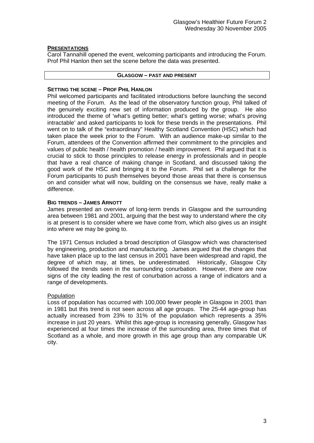# **PRESENTATIONS**

Carol Tannahill opened the event, welcoming participants and introducing the Forum. Prof Phil Hanlon then set the scene before the data was presented.

#### **GLASGOW – PAST AND PRESENT**

# **SETTING THE SCENE – PROF PHIL HANLON**

Phil welcomed participants and facilitated introductions before launching the second meeting of the Forum. As the lead of the observatory function group, Phil talked of the genuinely exciting new set of information produced by the group. He also introduced the theme of 'what's getting better; what's getting worse; what's proving intractable' and asked participants to look for these trends in the presentations. Phil went on to talk of the "extraordinary" Healthy Scotland Convention (HSC) which had taken place the week prior to the Forum. With an audience make-up similar to the Forum, attendees of the Convention affirmed their commitment to the principles and values of public health / health promotion / health improvement. Phil argued that it is crucial to stick to those principles to release energy in professionals and in people that have a real chance of making change in Scotland, and discussed taking the good work of the HSC and bringing it to the Forum. Phil set a challenge for the Forum participants to push themselves beyond those areas that there is consensus on and consider what will now, building on the consensus we have, really make a difference.

# **BIG TRENDS – JAMES ARNOTT**

James presented an overview of long-term trends in Glasgow and the surrounding area between 1981 and 2001, arguing that the best way to understand where the city is at present is to consider where we have come from, which also gives us an insight into where we may be going to.

The 1971 Census included a broad description of Glasgow which was characterised by engineering, production and manufacturing. James argued that the changes that have taken place up to the last census in 2001 have been widespread and rapid, the degree of which may, at times, be underestimated. Historically, Glasgow City followed the trends seen in the surrounding conurbation. However, there are now signs of the city leading the rest of conurbation across a range of indicators and a range of developments.

#### Population

Loss of population has occurred with 100,000 fewer people in Glasgow in 2001 than in 1981 but this trend is not seen across all age groups. The 25-44 age-group has actually increased from 23% to 31% of the population which represents a 35% increase in just 20 years. Whilst this age-group is increasing generally, Glasgow has experienced at four times the increase of the surrounding area, three times that of Scotland as a whole, and more growth in this age group than any comparable UK city.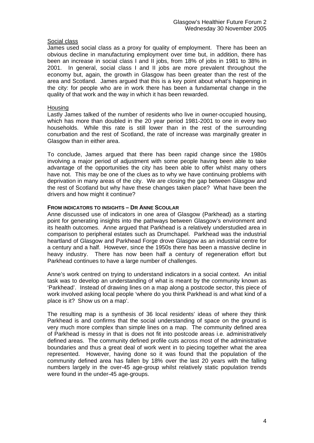#### Social class

James used social class as a proxy for quality of employment. There has been an obvious decline in manufacturing employment over time but, in addition, there has been an increase in social class I and II jobs, from 18% of jobs in 1981 to 38% in 2001. In general, social class I and II jobs are more prevalent throughout the economy but, again, the growth in Glasgow has been greater than the rest of the area and Scotland. James argued that this is a key point about what's happening in the city: for people who are in work there has been a fundamental change in the quality of that work and the way in which it has been rewarded.

#### Housing

Lastly James talked of the number of residents who live in owner-occupied housing, which has more than doubled in the 20 year period 1981-2001 to one in every two households. While this rate is still lower than in the rest of the surrounding conurbation and the rest of Scotland, the rate of increase was marginally greater in Glasgow than in either area.

To conclude, James argued that there has been rapid change since the 1980s involving a major period of adjustment with some people having been able to take advantage of the opportunities the city has been able to offer whilst many others have not. This may be one of the clues as to why we have continuing problems with deprivation in many areas of the city. We are closing the gap between Glasgow and the rest of Scotland but why have these changes taken place? What have been the drivers and how might it continue?

#### **FROM INDICATORS TO INSIGHTS – DR ANNE SCOULAR**

Anne discussed use of indicators in one area of Glasgow (Parkhead) as a starting point for generating insights into the pathways between Glasgow's environment and its health outcomes. Anne argued that Parkhead is a relatively understudied area in comparison to peripheral estates such as Drumchapel. Parkhead was the industrial heartland of Glasgow and Parkhead Forge drove Glasgow as an industrial centre for a century and a half. However, since the 1950s there has been a massive decline in heavy industry. There has now been half a century of regeneration effort but Parkhead continues to have a large number of challenges.

Anne's work centred on trying to understand indicators in a social context. An initial task was to develop an understanding of what is meant by the community known as 'Parkhead'. Instead of drawing lines on a map along a postcode sector, this piece of work involved asking local people 'where do you think Parkhead is and what kind of a place is it? Show us on a map'.

The resulting map is a synthesis of 36 local residents' ideas of where they think Parkhead is and confirms that the social understanding of space on the ground is very much more complex than simple lines on a map. The community defined area of Parkhead is messy in that is does not fit into postcode areas i.e. administratively defined areas. The community defined profile cuts across most of the administrative boundaries and thus a great deal of work went in to piecing together what the area represented. However, having done so it was found that the population of the community defined area has fallen by 18% over the last 20 years with the falling numbers largely in the over-45 age-group whilst relatively static population trends were found in the under-45 age-groups.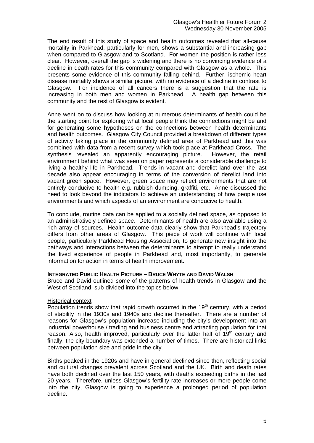The end result of this study of space and health outcomes revealed that all-cause mortality in Parkhead, particularly for men, shows a substantial and increasing gap when compared to Glasgow and to Scotland. For women the position is rather less clear. However, overall the gap is widening and there is no convincing evidence of a decline in death rates for this community compared with Glasgow as a whole. This presents some evidence of this community falling behind. Further, ischemic heart disease mortality shows a similar picture, with no evidence of a decline in contrast to Glasgow. For incidence of all cancers there is a suggestion that the rate is increasing in both men and women in Parkhead. A health gap between this community and the rest of Glasgow is evident.

Anne went on to discuss how looking at numerous determinants of health could be the starting point for exploring what local people think the connections might be and for generating some hypotheses on the connections between health determinants and health outcomes. Glasgow City Council provided a breakdown of different types of activity taking place in the community defined area of Parkhead and this was combined with data from a recent survey which took place at Parkhead Cross. The synthesis revealed an apparently encouraging picture. However, the retail environment behind what was seen on paper represents a considerable challenge to living a healthy life in Parkhead. Trends in vacant and derelict land over the last decade also appear encouraging in terms of the conversion of derelict land into vacant green space. However, green space may reflect environments that are not entirely conducive to health e.g. rubbish dumping, graffiti, etc. Anne discussed the need to look beyond the indicators to achieve an understanding of how people use environments and which aspects of an environment are conducive to health.

To conclude, routine data can be applied to a socially defined space, as opposed to an administratively defined space. Determinants of health are also available using a rich array of sources. Health outcome data clearly show that Parkhead's trajectory differs from other areas of Glasgow. This piece of work will continue with local people, particularly Parkhead Housing Association, to generate new insight into the pathways and interactions between the determinants to attempt to really understand the lived experience of people in Parkhead and, most importantly, to generate information for action in terms of health improvement.

# **INTEGRATED PUBLIC HEALTH PICTURE – BRUCE WHYTE AND DAVID WALSH**

Bruce and David outlined some of the patterns of health trends in Glasgow and the West of Scotland, sub-divided into the topics below.

#### Historical context

Population trends show that rapid growth occurred in the  $19<sup>th</sup>$  century, with a period of stability in the 1930s and 1940s and decline thereafter. There are a number of reasons for Glasgow's population increase including the city's development into an industrial powerhouse / trading and business centre and attracting population for that reason. Also, health improved, particularly over the latter half of  $19<sup>th</sup>$  century and finally, the city boundary was extended a number of times. There are historical links between population size and pride in the city.

Births peaked in the 1920s and have in general declined since then, reflecting social and cultural changes prevalent across Scotland and the UK. Birth and death rates have both declined over the last 150 years, with deaths exceeding births in the last 20 years. Therefore, unless Glasgow's fertility rate increases or more people come into the city, Glasgow is going to experience a prolonged period of population decline.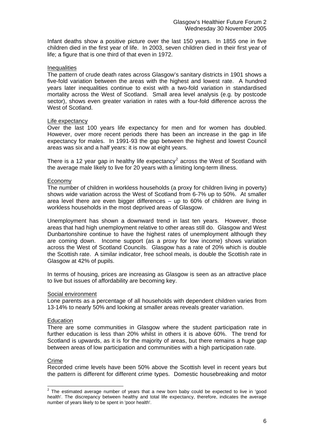Infant deaths show a positive picture over the last 150 years. In 1855 one in five children died in the first year of life. In 2003, seven children died in their first year of life; a figure that is one third of that even in 1972.

#### **Inequalities**

The pattern of crude death rates across Glasgow's sanitary districts in 1901 shows a five-fold variation between the areas with the highest and lowest rate. A hundred years later inequalities continue to exist with a two-fold variation in standardised mortality across the West of Scotland. Small area level analysis (e.g. by postcode sector), shows even greater variation in rates with a four-fold difference across the West of Scotland.

# Life expectancy

Over the last 100 years life expectancy for men and for women has doubled. However, over more recent periods there has been an increase in the gap in life expectancy for males. In 1991-93 the gap between the highest and lowest Council areas was six and a half years: it is now at eight years.

There is a 1[2](#page-5-0) year gap in healthy life expectancy<sup>2</sup> across the West of Scotland with the average male likely to live for 20 years with a limiting long-term illness.

#### **Economy**

The number of children in workless households (a proxy for children living in poverty) shows wide variation across the West of Scotland from 6-7% up to 50%. At smaller area level there are even bigger differences  $-$  up to 60% of children are living in workless households in the most deprived areas of Glasgow.

Unemployment has shown a downward trend in last ten years. However, those areas that had high unemployment relative to other areas still do. Glasgow and West Dunbartonshire continue to have the highest rates of unemployment although they are coming down. Income support (as a proxy for low income) shows variation across the West of Scotland Councils. Glasgow has a rate of 20% which is double the Scottish rate. A similar indicator, free school meals, is double the Scottish rate in Glasgow at 42% of pupils.

In terms of housing, prices are increasing as Glasgow is seen as an attractive place to live but issues of affordability are becoming key.

#### Social environment

Lone parents as a percentage of all households with dependent children varies from 13-14% to nearly 50% and looking at smaller areas reveals greater variation.

#### **Education**

There are some communities in Glasgow where the student participation rate in further education is less than 20% whilst in others it is above 60%. The trend for Scotland is upwards, as it is for the majority of areas, but there remains a huge gap between areas of low participation and communities with a high participation rate.

#### Crime

Recorded crime levels have been 50% above the Scottish level in recent years but the pattern is different for different crime types. Domestic housebreaking and motor

<span id="page-5-0"></span>The estimated average number of years that a new born baby could be expected to live in 'good health'. The discrepancy between healthy and total life expectancy, therefore, indicates the average number of years likely to be spent in 'poor health'.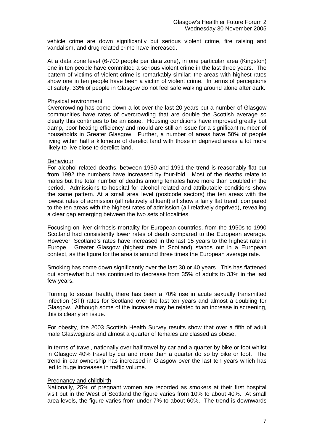vehicle crime are down significantly but serious violent crime, fire raising and vandalism, and drug related crime have increased.

At a data zone level (6-700 people per data zone), in one particular area (Kingston) one in ten people have committed a serious violent crime in the last three years. The pattern of victims of violent crime is remarkably similar: the areas with highest rates show one in ten people have been a victim of violent crime. In terms of perceptions of safety, 33% of people in Glasgow do not feel safe walking around alone after dark.

# Physical environment

Overcrowding has come down a lot over the last 20 years but a number of Glasgow communities have rates of overcrowding that are double the Scottish average so clearly this continues to be an issue. Housing conditions have improved greatly but damp, poor heating efficiency and mould are still an issue for a significant number of households in Greater Glasgow. Further, a number of areas have 50% of people living within half a kilometre of derelict land with those in deprived areas a lot more likely to live close to derelict land.

#### Behaviour

For alcohol related deaths, between 1980 and 1991 the trend is reasonably flat but from 1992 the numbers have increased by four-fold. Most of the deaths relate to males but the total number of deaths among females have more than doubled in the period. Admissions to hospital for alcohol related and attributable conditions show the same pattern. At a small area level (postcode sectors) the ten areas with the lowest rates of admission (all relatively affluent) all show a fairly flat trend, compared to the ten areas with the highest rates of admission (all relatively deprived), revealing a clear gap emerging between the two sets of localities.

Focusing on liver cirrhosis mortality for European countries, from the 1950s to 1990 Scotland had consistently lower rates of death compared to the European average. However, Scotland's rates have increased in the last 15 years to the highest rate in Europe. Greater Glasgow (highest rate in Scotland) stands out in a European context, as the figure for the area is around three times the European average rate.

Smoking has come down significantly over the last 30 or 40 years. This has flattened out somewhat but has continued to decrease from 35% of adults to 33% in the last few years.

Turning to sexual health, there has been a 70% rise in acute sexually transmitted infection (STI) rates for Scotland over the last ten years and almost a doubling for Glasgow. Although some of the increase may be related to an increase in screening, this is clearly an issue.

For obesity, the 2003 Scottish Health Survey results show that over a fifth of adult male Glaswegians and almost a quarter of females are classed as obese.

In terms of travel, nationally over half travel by car and a quarter by bike or foot whilst in Glasgow 40% travel by car and more than a quarter do so by bike or foot. The trend in car ownership has increased in Glasgow over the last ten years which has led to huge increases in traffic volume.

#### Pregnancy and childbirth

Nationally, 25% of pregnant women are recorded as smokers at their first hospital visit but in the West of Scotland the figure varies from 10% to about 40%. At small area levels, the figure varies from under 7% to about 60%. The trend is downwards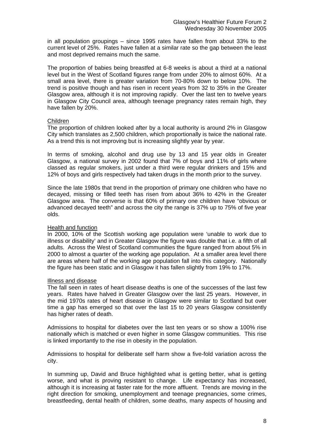in all population groupings – since 1995 rates have fallen from about 33% to the current level of 25%. Rates have fallen at a similar rate so the gap between the least and most deprived remains much the same.

The proportion of babies being breastfed at 6-8 weeks is about a third at a national level but in the West of Scotland figures range from under 20% to almost 60%. At a small area level, there is greater variation from 70-80% down to below 10%. The trend is positive though and has risen in recent years from 32 to 35% in the Greater Glasgow area, although it is not improving rapidly. Over the last ten to twelve years in Glasgow City Council area, although teenage pregnancy rates remain high, they have fallen by 20%.

#### Children

The proportion of children looked after by a local authority is around 2% in Glasgow City which translates as 2,500 children, which proportionally is twice the national rate. As a trend this is not improving but is increasing slightly year by year.

In terms of smoking, alcohol and drug use by 13 and 15 year olds in Greater Glasgow, a national survey in 2002 found that 7% of boys and 11% of girls where classed as regular smokers, just under a third were regular drinkers and 15% and 12% of boys and girls respectively had taken drugs in the month prior to the survey.

Since the late 1980s that trend in the proportion of primary one children who have no decayed, missing or filled teeth has risen from about 36% to 42% in the Greater Glasgow area. The converse is that 60% of primary one children have "obvious or advanced decayed teeth" and across the city the range is 37% up to 75% of five year olds.

#### Health and function

In 2000, 10% of the Scottish working age population were 'unable to work due to illness or disability' and in Greater Glasgow the figure was double that i.e. a fifth of all adults. Across the West of Scotland communities the figure ranged from about 5% in 2000 to almost a quarter of the working age population. At a smaller area level there are areas where half of the working age population fall into this category. Nationally the figure has been static and in Glasgow it has fallen slightly from 19% to 17%.

#### Illness and disease

The fall seen in rates of heart disease deaths is one of the successes of the last few years. Rates have halved in Greater Glasgow over the last 25 years. However, in the mid 1970s rates of heart disease in Glasgow were similar to Scotland but over time a gap has emerged so that over the last 15 to 20 years Glasgow consistently has higher rates of death.

Admissions to hospital for diabetes over the last ten years or so show a 100% rise nationally which is matched or even higher in some Glasgow communities. This rise is linked importantly to the rise in obesity in the population.

Admissions to hospital for deliberate self harm show a five-fold variation across the city.

In summing up, David and Bruce highlighted what is getting better, what is getting worse, and what is proving resistant to change. Life expectancy has increased, although it is increasing at faster rate for the more affluent. Trends are moving in the right direction for smoking, unemployment and teenage pregnancies, some crimes, breastfeeding, dental health of children, some deaths, many aspects of housing and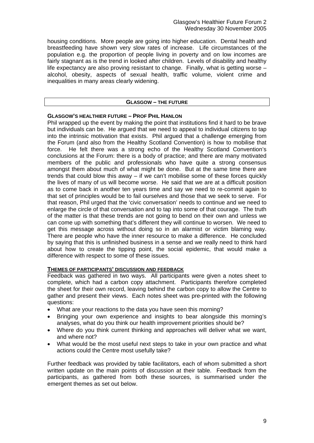housing conditions. More people are going into higher education. Dental health and breastfeeding have shown very slow rates of increase. Life circumstances of the population e.g. the proportion of people living in poverty and on low incomes are fairly stagnant as is the trend in looked after children. Levels of disability and healthy life expectancy are also proving resistant to change. Finally, what is getting worse – alcohol, obesity, aspects of sexual health, traffic volume, violent crime and inequalities in many areas clearly widening.

#### **GLASGOW – THE FUTURE**

#### **GLASGOW'S HEALTHIER FUTURE – PROF PHIL HANLON**

Phil wrapped up the event by making the point that institutions find it hard to be brave but individuals can be. He argued that we need to appeal to individual citizens to tap into the intrinsic motivation that exists. Phil argued that a challenge emerging from the Forum (and also from the Healthy Scotland Convention) is how to mobilise that force. He felt there was a strong echo of the Healthy Scotland Convention's conclusions at the Forum: there is a body of practice; and there are many motivated members of the public and professionals who have quite a strong consensus amongst them about much of what might be done. But at the same time there are trends that could blow this away – if we can't mobilise some of these forces quickly the lives of many of us will become worse. He said that we are at a difficult position as to come back in another ten years time and say we need to re-commit again to that set of principles would be to fail ourselves and those that we seek to serve. For that reason, Phil urged that the 'civic conversation' needs to continue and we need to enlarge the circle of that conversation and to tap into some of that courage. The truth of the matter is that these trends are not going to bend on their own and unless we can come up with something that's different they will continue to worsen. We need to get this message across without doing so in an alarmist or victim blaming way. There are people who have the inner resource to make a difference. He concluded by saying that this is unfinished business in a sense and we really need to think hard about how to create the tipping point, the social epidemic, that would make a difference with respect to some of these issues.

# **THEMES OF PARTICIPANTS' DISCUSSION AND FEEDBACK**

Feedback was gathered in two ways. All participants were given a notes sheet to complete, which had a carbon copy attachment. Participants therefore completed the sheet for their own record, leaving behind the carbon copy to allow the Centre to gather and present their views. Each notes sheet was pre-printed with the following questions:

- What are your reactions to the data you have seen this morning?
- Bringing your own experience and insights to bear alongside this morning's analyses, what do you think our health improvement priorities should be?
- Where do you think current thinking and approaches will deliver what we want, and where not?
- What would be the most useful next steps to take in your own practice and what actions could the Centre most usefully take?

Further feedback was provided by table facilitators, each of whom submitted a short written update on the main points of discussion at their table. Feedback from the participants, as gathered from both these sources, is summarised under the emergent themes as set out below.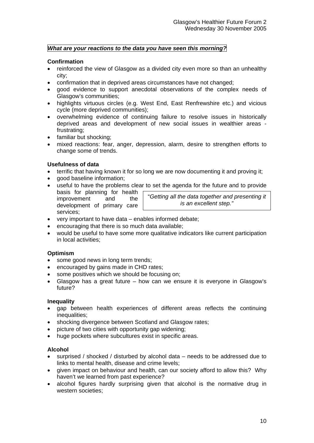# *What are your reactions to the data you have seen this morning?*

# **Confirmation**

- reinforced the view of Glasgow as a divided city even more so than an unhealthy city;
- confirmation that in deprived areas circumstances have not changed;
- good evidence to support anecdotal observations of the complex needs of Glasgow's communities;
- highlights virtuous circles (e.g. West End, East Renfrewshire etc.) and vicious cycle (more deprived communities);
- overwhelming evidence of continuing failure to resolve issues in historically deprived areas and development of new social issues in wealthier areas frustrating;
- familiar but shocking:
- mixed reactions: fear, anger, depression, alarm, desire to strengthen efforts to change some of trends.

# **Usefulness of data**

- terrific that having known it for so long we are now documenting it and proving it;
- good baseline information:
- useful to have the problems clear to set the agenda for the future and to provide basis for planning for health
	- improvement and the development of primary care services;

"*Getting all the data together and presenting it is an excellent step."* 

- very important to have data enables informed debate;
- encouraging that there is so much data available;
- would be useful to have some more qualitative indicators like current participation in local activities;

# **Optimism**

- some good news in long term trends;
- encouraged by gains made in CHD rates;
- some positives which we should be focusing on;
- Glasgow has a great future how can we ensure it is everyone in Glasgow's future?

#### **Inequality**

- gap between health experiences of different areas reflects the continuing inequalities:
- shocking divergence between Scotland and Glasgow rates;
- picture of two cities with opportunity gap widening:
- huge pockets where subcultures exist in specific areas.

# **Alcohol**

- surprised / shocked / disturbed by alcohol data needs to be addressed due to links to mental health, disease and crime levels;
- given impact on behaviour and health, can our society afford to allow this? Why haven't we learned from past experience?
- alcohol figures hardly surprising given that alcohol is the normative drug in western societies;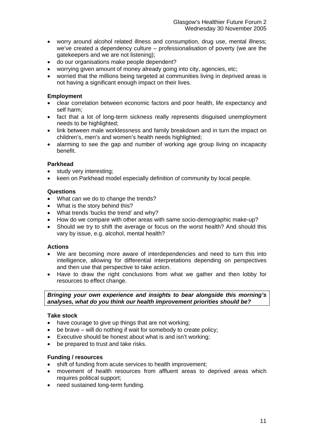- worry around alcohol related illness and consumption, drug use, mental illness; we've created a dependency culture – professionalisation of poverty (we are the gatekeepers and we are not listening);
- do our organisations make people dependent?
- worrying given amount of money already going into city, agencies, etc;
- worried that the millions being targeted at communities living in deprived areas is not having a significant enough impact on their lives.

# **Employment**

- clear correlation between economic factors and poor health, life expectancy and self harm;
- fact that a lot of long-term sickness really represents disquised unemployment needs to be highlighted;
- link between male worklessness and family breakdown and in turn the impact on children's, men's and women's health needs highlighted;
- alarming to see the gap and number of working age group living on incapacity benefit.

# **Parkhead**

- study very interesting;
- keen on Parkhead model especially definition of community by local people.

# **Questions**

- What can we do to change the trends?
- What is the story behind this?
- What trends 'bucks the trend' and why?
- How do we compare with other areas with same socio-demographic make-up?
- Should we try to shift the average or focus on the worst health? And should this vary by issue, e.g. alcohol, mental health?

#### **Actions**

- We are becoming more aware of interdependencies and need to turn this into intelligence, allowing for differential interpretations depending on perspectives and then use that perspective to take action.
- Have to draw the right conclusions from what we gather and then lobby for resources to effect change.

# *Bringing your own experience and insights to bear alongside this morning's analyses, what do you think our health improvement priorities should be?*

#### **Take stock**

- have courage to give up things that are not working;
- be brave will do nothing if wait for somebody to create policy;
- Executive should be honest about what is and isn't working;
- be prepared to trust and take risks.

# **Funding / resources**

- shift of funding from acute services to health improvement;
- movement of health resources from affluent areas to deprived areas which requires political support;
- need sustained long-term funding.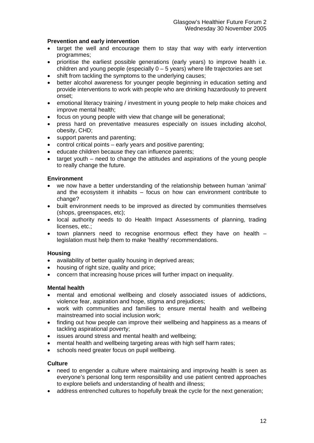# **Prevention and early intervention**

- target the well and encourage them to stay that way with early intervention programmes;
- prioritise the earliest possible generations (early years) to improve health i.e. children and young people (especially  $0 - 5$  years) where life trajectories are set
- shift from tackling the symptoms to the underlying causes;
- better alcohol awareness for younger people beginning in education setting and provide interventions to work with people who are drinking hazardously to prevent onset;
- emotional literacy training / investment in young people to help make choices and improve mental health;
- focus on young people with view that change will be generational;
- press hard on preventative measures especially on issues including alcohol, obesity, CHD;
- support parents and parenting;
- control critical points early years and positive parenting;
- educate children because they can influence parents;
- target youth need to change the attitudes and aspirations of the young people to really change the future.

# **Environment**

- we now have a better understanding of the relationship between human 'animal' and the ecosystem it inhabits – focus on how can environment contribute to change?
- built environment needs to be improved as directed by communities themselves (shops, greenspaces, etc);
- local authority needs to do Health Impact Assessments of planning, trading licenses, etc.;
- town planners need to recognise enormous effect they have on health legislation must help them to make 'healthy' recommendations.

# **Housing**

- availability of better quality housing in deprived areas;
- housing of right size, quality and price;
- concern that increasing house prices will further impact on inequality.

# **Mental health**

- mental and emotional wellbeing and closely associated issues of addictions, violence fear, aspiration and hope, stigma and prejudices;
- work with communities and families to ensure mental health and wellbeing mainstreamed into social inclusion work;
- finding out how people can improve their wellbeing and happiness as a means of tackling aspirational poverty;
- issues around stress and mental health and wellbeing;
- mental health and wellbeing targeting areas with high self harm rates;
- schools need greater focus on pupil wellbeing.

# **Culture**

- need to engender a culture where maintaining and improving health is seen as everyone's personal long term responsibility and use patient centred approaches to explore beliefs and understanding of health and illness;
- address entrenched cultures to hopefully break the cycle for the next generation;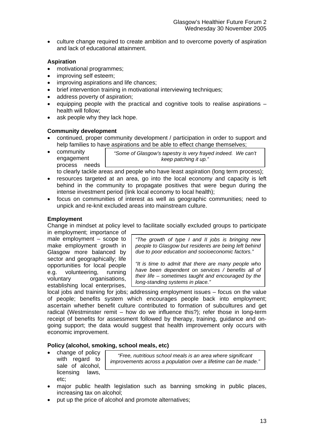• culture change required to create ambition and to overcome poverty of aspiration and lack of educational attainment.

# **Aspiration**

- motivational programmes;
- improving self esteem;
- improving aspirations and life chances;
- brief intervention training in motivational interviewing techniques:
- address poverty of aspiration;
- $\bullet$  equipping people with the practical and cognitive tools to realise aspirations  $$ health will follow;
- ask people why they lack hope.

# **Community development**

- continued, proper community development / participation in order to support and help families to have aspirations and be able to effect change themselves;
- *"Some of Glasgow's tapestry is very frayed indeed. We can't keep patching it up."*  • community engagement process needs

to clearly tackle areas and people who have least aspiration (long term process);

- resources targeted at an area, go into the local economy and capacity is left behind in the community to propagate positives that were begun during the intense investment period (link local economy to local health);
- focus on communities of interest as well as geographic communities; need to unpick and re-knit excluded areas into mainstream culture.

# **Employment**

Change in mindset at policy level to facilitate socially excluded groups to participate

in employment; importance of male employment – scope to make employment growth in Glasgow more balanced by sector and geographically; life opportunities for local people e.g. volunteering, running voluntary organisations, establishing local enterprises,

*"The growth of type I and II jobs is bringing new people to Glasgow but residents are being left behind due to poor education and socioeconomic factors."* 

*"It is time to admit that there are many people who have been dependent on services / benefits all of their life – sometimes taught and encouraged by the long-standing systems in place."* 

local jobs and training for jobs; addressing employment issues – focus on the value of people; benefits system which encourages people back into employment; ascertain whether benefit culture contributed to formation of subcultures and get radical (Westminster remit – how do we influence this?); refer those in long-term receipt of benefits for assessment followed by therapy, training, guidance and ongoing support; the data would suggest that health improvement only occurs with economic improvement.

# **Policy (alcohol, smoking, school meals, etc)**

• change of policy with regard to sale of alcohol, licensing laws, etc;

*"Free, nutritious school meals is an area where significant improvements across a population over a lifetime can be made."*

- major public health legislation such as banning smoking in public places, increasing tax on alcohol;
- put up the price of alcohol and promote alternatives;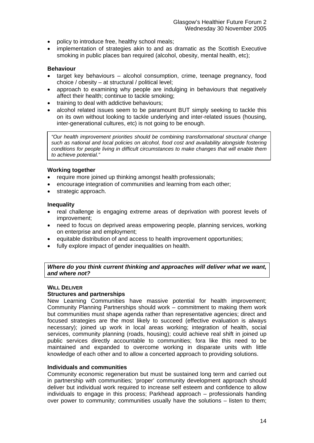- policy to introduce free, healthy school meals;
- implementation of strategies akin to and as dramatic as the Scottish Executive smoking in public places ban required (alcohol, obesity, mental health, etc);

# **Behaviour**

- target key behaviours alcohol consumption, crime, teenage pregnancy, food choice / obesity – at structural / political level;
- approach to examining why people are indulging in behaviours that negatively affect their health; continue to tackle smoking;
- training to deal with addictive behaviours;
- alcohol related issues seem to be paramount BUT simply seeking to tackle this on its own without looking to tackle underlying and inter-related issues (housing, inter-generational cultures, etc) is not going to be enough.

*"Our health improvement priorities should be combining transformational structural change such as national and local policies on alcohol, food cost and availability alongside fostering conditions for people living in difficult circumstances to make changes that will enable them to achieve potential."* 

# **Working together**

- require more joined up thinking amongst health professionals;
- encourage integration of communities and learning from each other;
- strategic approach.

# **Inequality**

- real challenge is engaging extreme areas of deprivation with poorest levels of improvement;
- need to focus on deprived areas empowering people, planning services, working on enterprise and employment;
- equitable distribution of and access to health improvement opportunities;
- fully explore impact of gender inequalities on health.

*Where do you think current thinking and approaches will deliver what we want, and where not?* 

# **WILL DELIVER**

# **Structures and partnerships**

New Learning Communities have massive potential for health improvement; Community Planning Partnerships should work – commitment to making them work but communities must shape agenda rather than representative agencies; direct and focused strategies are the most likely to succeed (effective evaluation is always necessary); joined up work in local areas working; integration of health, social services, community planning (roads, housing); could achieve real shift in joined up public services directly accountable to communities; fora like this need to be maintained and expanded to overcome working in disparate units with little knowledge of each other and to allow a concerted approach to providing solutions.

# **Individuals and communities**

Community economic regeneration but must be sustained long term and carried out in partnership with communities; 'proper' community development approach should deliver but individual work required to increase self esteem and confidence to allow individuals to engage in this process; Parkhead approach – professionals handing over power to community; communities usually have the solutions – listen to them;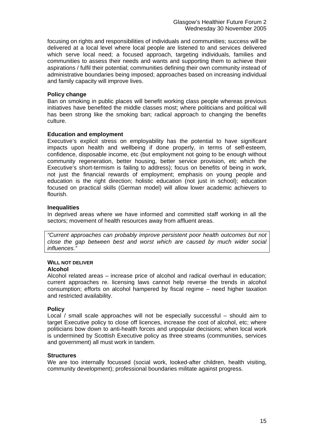focusing on rights and responsibilities of individuals and communities; success will be delivered at a local level where local people are listened to and services delivered which serve local need; a focused approach, targeting individuals, families and communities to assess their needs and wants and supporting them to achieve their aspirations / fulfil their potential; communities defining their own community instead of administrative boundaries being imposed; approaches based on increasing individual and family capacity will improve lives.

#### **Policy change**

Ban on smoking in public places will benefit working class people whereas previous initiatives have benefited the middle classes most; where politicians and political will has been strong like the smoking ban; radical approach to changing the benefits culture.

# **Education and employment**

Executive's explicit stress on employability has the potential to have significant impacts upon health and wellbeing if done properly, in terms of self-esteem, confidence, disposable income, etc (but employment not going to be enough without community regeneration, better housing, better service provision, etc which the Executive's short-termism is failing to address); focus on benefits of being in work, not just the financial rewards of employment; emphasis on young people and education is the right direction; holistic education (not just in school); education focused on practical skills (German model) will allow lower academic achievers to flourish.

# **Inequalities**

In deprived areas where we have informed and committed staff working in all the sectors; movement of health resources away from affluent areas.

*"Current approaches can probably improve persistent poor health outcomes but not close the gap between best and worst which are caused by much wider social influences."* 

# **WILL NOT DELIVER**

# **Alcohol**

Alcohol related areas – increase price of alcohol and radical overhaul in education; current approaches re. licensing laws cannot help reverse the trends in alcohol consumption; efforts on alcohol hampered by fiscal regime – need higher taxation and restricted availability.

#### **Policy**

Local / small scale approaches will not be especially successful – should aim to target Executive policy to close off licences, increase the cost of alcohol, etc; where politicians bow down to anti-health forces and unpopular decisions; when local work is undermined by Scottish Executive policy as three streams (communities, services and government) all must work in tandem.

#### **Structures**

We are too internally focussed (social work, looked-after children, health visiting, community development); professional boundaries militate against progress.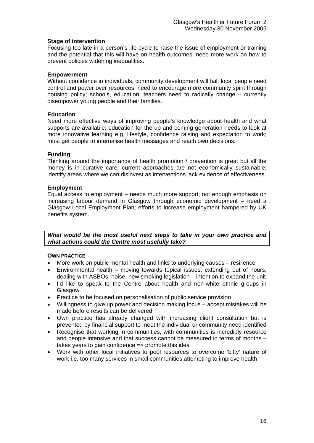# **Stage of intervention**

Focusing too late in a person's life-cycle to raise the issue of employment or training and the potential that this will have on health outcomes; need more work on how to prevent policies widening inequalities.

#### **Empowerment**

Without confidence in individuals, community development will fail; local people need control and power over resources; need to encourage more community spirit through housing policy; schools, education, teachers need to radically change – currently disempower young people and their families.

# **Education**

Need more effective ways of improving people's knowledge about health and what supports are available; education for the up and coming generation needs to look at more innovative learning e.g. lifestyle, confidence raising and expectation to work; must get people to internalise health messages and reach own decisions.

# **Funding**

Thinking around the importance of health promotion / prevention is great but all the money is in curative care; current approaches are not economically sustainable; identify areas where we can disinvest as interventions lack evidence of effectiveness.

# **Employment**

Equal access to employment – needs much more support; not enough emphasis on increasing labour demand in Glasgow through economic development – need a Glasgow Local Employment Plan; efforts to increase employment hampered by UK benefits system.

*What would be the most useful next steps to take in your own practice and what actions could the Centre most usefully take?* 

#### **OWN PRACTICE**

- More work on public mental health and links to underlying causes resilience
- Environmental health moving towards topical issues, extending out of hours, dealing with ASBOs, noise, new smoking legislation – intention to expand the unit
- I'd like to speak to the Centre about health and non-white ethnic groups in Glasgow
- Practice to be focused on personalisation of public service provision
- Willingness to give up power and decision making focus accept mistakes will be made before results can be delivered
- Own practice has already changed with increasing client consultation but is prevented by financial support to meet the individual or community need identified
- Recognise that working in communities, with communities is incredibly resource and people intensive and that success cannot be measured in terms of months – takes years to gain confidence => promote this idea
- Work with other local initiatives to pool resources to overcome 'bitty' nature of work i.e. too many services in small communities attempting to improve health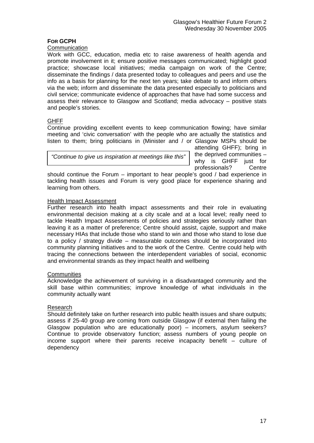# **FOR GCPH**

# **Communication**

Work with GCC, education, media etc to raise awareness of health agenda and promote involvement in it; ensure positive messages communicated; highlight good practice; showcase local initiatives; media campaign on work of the Centre; disseminate the findings / data presented today to colleagues and peers and use the info as a basis for planning for the next ten years; take debate to and inform others via the web; inform and disseminate the data presented especially to politicians and civil service; communicate evidence of approaches that have had some success and assess their relevance to Glasgow and Scotland; media advocacy – positive stats and people's stories.

# GHFF

Continue providing excellent events to keep communication flowing; have similar meeting and 'civic conversation' with the people who are actually the statistics and listen to them; bring politicians in (Minister and / or Glasgow MSPs should be

*"Continue to give us inspiration at meetings like this"*

attending GHFF); bring in the deprived communities – why is GHFF just for professionals? Centre

should continue the Forum – important to hear people's good / bad experience in tackling health issues and Forum is very good place for experience sharing and learning from others.

# Health Impact Assessment

Further research into health impact assessments and their role in evaluating environmental decision making at a city scale and at a local level; really need to tackle Health Impact Assessments of policies and strategies seriously rather than leaving it as a matter of preference; Centre should assist, cajole, support and make necessary HIAs that include those who stand to win and those who stand to lose due to a policy / strategy divide – measurable outcomes should be incorporated into community planning initiatives and to the work of the Centre. Centre could help with tracing the connections between the interdependent variables of social, economic and environmental strands as they impact health and wellbeing

# **Communities**

Acknowledge the achievement of surviving in a disadvantaged community and the skill base within communities; improve knowledge of what individuals in the community actually want

# Research

Should definitely take on further research into public health issues and share outputs; assess if 25-40 group are coming from outside Glasgow (if external then failing the Glasgow population who are educationally poor) – incomers, asylum seekers? Continue to provide observatory function; assess numbers of young people on income support where their parents receive incapacity benefit – culture of dependency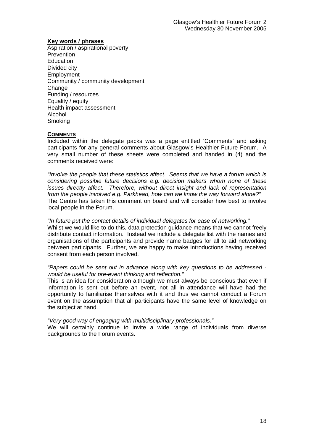#### **Key words / phrases**

Aspiration / aspirational poverty **Prevention** Education Divided city Employment Community / community development Change Funding / resources Equality / equity Health impact assessment Alcohol Smoking

# **COMMENTS**

Included within the delegate packs was a page entitled 'Comments' and asking participants for any general comments about Glasgow's Healthier Future Forum. A very small number of these sheets were completed and handed in (4) and the comments received were:

*"Involve the people that these statistics affect. Seems that we have a forum which is considering possible future decisions e.g. decision makers whom none of these issues directly affect. Therefore, without direct insight and lack of representation from the people involved e.g. Parkhead, how can we know the way forward alone?"*  The Centre has taken this comment on board and will consider how best to involve local people in the Forum.

*"In future put the contact details of individual delegates for ease of networking."*  Whilst we would like to do this, data protection guidance means that we cannot freely distribute contact information. Instead we include a delegate list with the names and organisations of the participants and provide name badges for all to aid networking between participants. Further, we are happy to make introductions having received consent from each person involved.

#### *"Papers could be sent out in advance along with key questions to be addressed would be useful for pre-event thinking and reflection."*

This is an idea for consideration although we must always be conscious that even if information is sent out before an event, not all in attendance will have had the opportunity to familiarise themselves with it and thus we cannot conduct a Forum event on the assumption that all participants have the same level of knowledge on the subject at hand.

*"Very good way of engaging with multidisciplinary professionals."* 

We will certainly continue to invite a wide range of individuals from diverse backgrounds to the Forum events.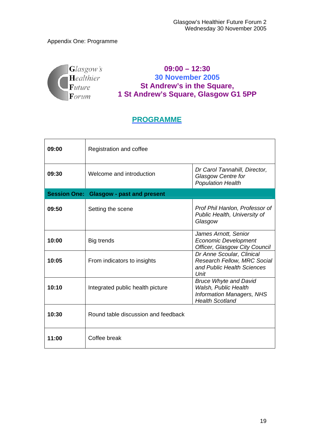# Appendix One: Programme



**09:00 – 12:30 30 November 2005 St Andrew's in the Square, 1 St Andrew's Square, Glasgow G1 5PP** 

# **PROGRAMME**

| 09:00 | Registration and coffee                        |                                                                                                                    |
|-------|------------------------------------------------|--------------------------------------------------------------------------------------------------------------------|
| 09:30 | Welcome and introduction                       | Dr Carol Tannahill, Director,<br><b>Glasgow Centre for</b><br><b>Population Health</b>                             |
|       | <b>Session One: Glasgow - past and present</b> |                                                                                                                    |
| 09:50 | Setting the scene                              | Prof Phil Hanlon, Professor of<br>Public Health, University of<br>Glasgow                                          |
| 10:00 | Big trends                                     | James Arnott, Senior<br><b>Economic Development</b><br>Officer, Glasgow City Council                               |
| 10:05 | From indicators to insights                    | Dr Anne Scoular, Clinical<br><b>Research Fellow, MRC Social</b><br>and Public Health Sciences<br>Unit              |
| 10:10 | Integrated public health picture               | <b>Bruce Whyte and David</b><br>Walsh, Public Health<br><b>Information Managers, NHS</b><br><b>Health Scotland</b> |
| 10:30 | Round table discussion and feedback            |                                                                                                                    |
| 11:00 | Coffee break                                   |                                                                                                                    |